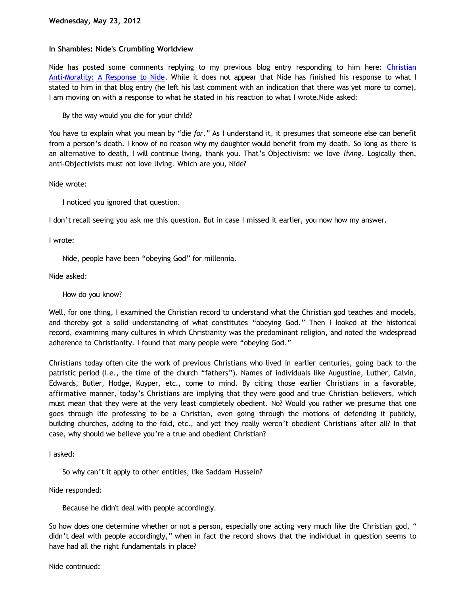# **In Shambles: Nide's Crumbling Worldview**

Nide has posted some comments replying to my previous blog entry responding to him here: [Christian](http://bahnsenburner.blogspot.com/2012/05/christian-anti-morality-response-to.html) [Anti-Morality: A Response to Nide.](http://bahnsenburner.blogspot.com/2012/05/christian-anti-morality-response-to.html) While it does not appear that Nide has finished his response to what I stated to him in that blog entry (he left his last comment with an indication that there was yet more to come), I am moving on with a response to what he stated in his reaction to what I wrote.Nide asked:

By the way would you die for your child?

You have to explain what you mean by "die *for*." As I understand it, it presumes that someone else can benefit from a person's death. I know of no reason why my daughter would benefit from my death. So long as there is an alternative to death, I will continue living, thank you. That's Objectivism: we love *living*. Logically then, anti-Objectivists must not love living. Which are you, Nide?

Nide wrote:

I noticed you ignored that question.

I don't recall seeing you ask me this question. But in case I missed it earlier, you now how my answer.

I wrote:

Nide, people have been "obeying God" for millennia.

Nide asked:

How do you know?

Well, for one thing, I examined the Christian record to understand what the Christian god teaches and models, and thereby got a solid understanding of what constitutes "obeying God." Then I looked at the historical record, examining many cultures in which Christianity was the predominant religion, and noted the widespread adherence to Christianity. I found that many people were "obeying God."

Christians today often cite the work of previous Christians who lived in earlier centuries, going back to the patristic period (i.e., the time of the church "fathers"). Names of individuals like Augustine, Luther, Calvin, Edwards, Butler, Hodge, Kuyper, etc., come to mind. By citing those earlier Christians in a favorable, affirmative manner, today's Christians are implying that they were good and true Christian believers, which must mean that they were at the very least completely obedient. No? Would you rather we presume that one goes through life professing to be a Christian, even going through the motions of defending it publicly, building churches, adding to the fold, etc., and yet they really weren't obedient Christians after all? In that case, why should we believe you're a true and obedient Christian?

I asked:

So why can't it apply to other entities, like Saddam Hussein?

Nide responded:

Because he didn't deal with people accordingly.

So how does one determine whether or not a person, especially one acting very much like the Christian god, " didn't deal with people accordingly," when in fact the record shows that the individual in question seems to have had all the right fundamentals in place?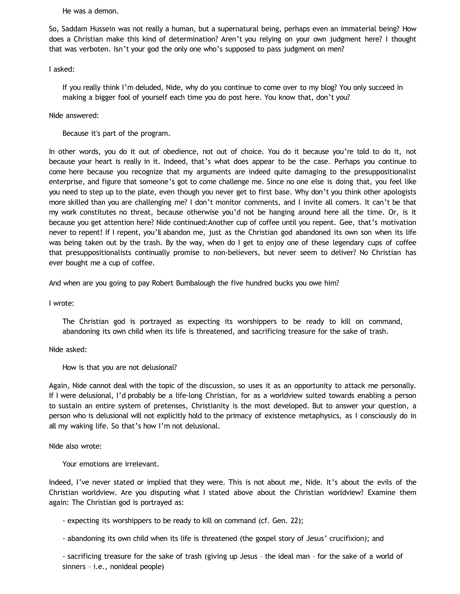He was a demon.

So, Saddam Hussein was not really a human, but a supernatural being, perhaps even an immaterial being? How does a Christian make this kind of determination? Aren't you relying on your own judgment here? I thought that was verboten. Isn't your god the only one who's supposed to pass judgment on men?

### I asked:

If you really think I'm deluded, Nide, why do you continue to come over to my blog? You only succeed in making a bigger fool of yourself each time you do post here. You know that, don't you?

### Nide answered:

Because it's part of the program.

In other words, you do it out of obedience, not out of choice. You do it because you're told to do it, not because your heart is really in it. Indeed, that's what does appear to be the case. Perhaps you continue to come here because you recognize that my arguments are indeed quite damaging to the presuppositionalist enterprise, and figure that someone's got to come challenge me. Since no one else is doing that, you feel like you need to step up to the plate, even though you never get to first base. Why don't you think other apologists more skilled than you are challenging me? I don't monitor comments, and I invite all comers. It can't be that my work constitutes no threat, because otherwise you'd not be hanging around here all the time. Or, is it because you get attention here? Nide continued:Another cup of coffee until you repent. Gee, that's motivation never to repent! If I repent, you'll abandon me, just as the Christian god abandoned its own son when its life was being taken out by the trash. By the way, when do I get to enjoy one of these legendary cups of coffee that presuppositionalists continually promise to non-believers, but never seem to deliver? No Christian has ever bought me a cup of coffee.

And when are you going to pay Robert Bumbalough the five hundred bucks you owe him?

I wrote:

The Christian god is portrayed as expecting its worshippers to be ready to kill on command, abandoning its own child when its life is threatened, and sacrificing treasure for the sake of trash.

Nide asked:

How is that you are not delusional?

Again, Nide cannot deal with the topic of the discussion, so uses it as an opportunity to attack me personally. If I were delusional, I'd probably be a life-long Christian, for as a worldview suited towards enabling a person to sustain an entire system of pretenses, Christianity is the most developed. But to answer your question, a person who is delusional will not explicitly hold to the primacy of existence metaphysics, as I consciously do in all my waking life. So that's how I'm not delusional.

### Nide also wrote:

Your emotions are irrelevant.

Indeed, I've never stated or implied that they were. This is not about *me*, Nide. It's about the evils of the Christian worldview. Are you disputing what I stated above about the Christian worldview? Examine them again: The Christian god is portrayed as:

- expecting its worshippers to be ready to kill on command (cf. Gen. 22);

- abandoning its own child when its life is threatened (the gospel story of Jesus' crucifixion); and

- sacrificing treasure for the sake of trash (giving up Jesus – the ideal man – for the sake of a world of sinners – i.e., nonideal people)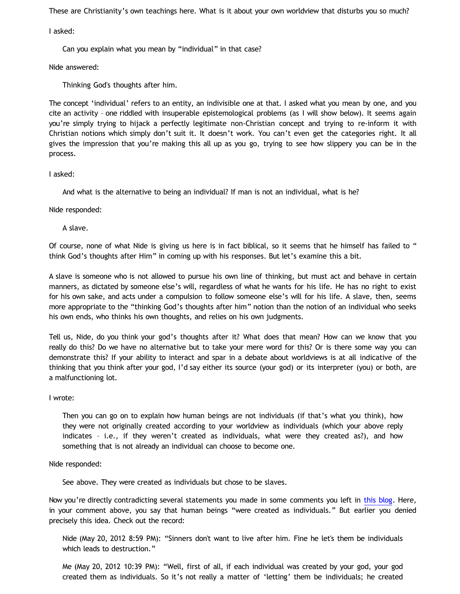These are Christianity's own teachings here. What is it about your own worldview that disturbs you so much?

I asked:

Can you explain what you mean by "individual" in that case?

Nide answered:

Thinking God's thoughts after him.

The concept 'individual' refers to an entity, an indivisible one at that. I asked what you mean by one, and you cite an activity – one riddled with insuperable epistemological problems (as I will show below). It seems again you're simply trying to hijack a perfectly legitimate non-Christian concept and trying to re-inform it with Christian notions which simply don't suit it. It doesn't work. You can't even get the categories right. It all gives the impression that you're making this all up as you go, trying to see how slippery you can be in the process.

I asked:

And what is the alternative to being an individual? If man is not an individual, what is he?

Nide responded:

A slave.

Of course, none of what Nide is giving us here is in fact biblical, so it seems that he himself has failed to " think God's thoughts after Him" in coming up with his responses. But let's examine this a bit.

A slave is someone who is not allowed to pursue his own line of thinking, but must act and behave in certain manners, as dictated by someone else's will, regardless of what he wants for his life. He has no right to exist for his own sake, and acts under a compulsion to follow someone else's will for his life. A slave, then, seems more appropriate to the "thinking God's thoughts after him" notion than the notion of an individual who seeks his own ends, who thinks his own thoughts, and relies on his own judgments.

Tell us, Nide, do you think your god's thoughts after it? What does that mean? How can we know that you really do this? Do we have no alternative but to take your mere word for this? Or is there some way you can demonstrate this? If your ability to interact and spar in a debate about worldviews is at all indicative of the thinking that you think after your god, I'd say either its source (your god) or its interpreter (you) or both, are a malfunctioning lot.

I wrote:

Then you can go on to explain how human beings are not individuals (if that's what you think), how they were not originally created according to your worldview as individuals (which your above reply indicates – i.e., if they weren't created as individuals, what were they created as?), and how something that is not already an individual can choose to become one.

Nide responded:

See above. They were created as individuals but chose to be slaves.

Now you're directly contradicting several statements you made in some comments you left in [this blog.](http://bahnsenburner.blogspot.com/2012/05/answering-dustin-segers_19.html) Here, in your comment above, you say that human beings "were created as individuals." But earlier you denied precisely this idea. Check out the record:

Nide (May 20, 2012 8:59 PM): "Sinners don't want to live after him. Fine he let's them be individuals which leads to destruction."

Me (May 20, 2012 10:39 PM): "Well, first of all, if each individual was created by your god, your god created them as individuals. So it's not really a matter of 'letting' them be individuals; he created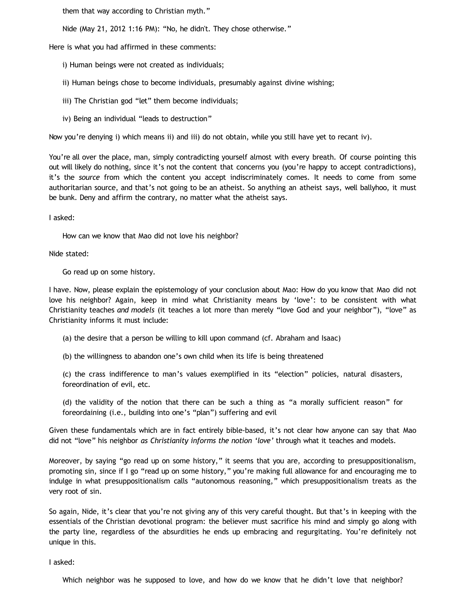them that way according to Christian myth."

Nide (May 21, 2012 1:16 PM): "No, he didn't. They chose otherwise."

Here is what you had affirmed in these comments:

- i) Human beings were not created as individuals;
- ii) Human beings chose to become individuals, presumably against divine wishing;
- iii) The Christian god "let" them become individuals;
- iv) Being an individual "leads to destruction"

Now you're denying i) which means ii) and iii) do not obtain, while you still have yet to recant iv).

You're all over the place, man, simply contradicting yourself almost with every breath. Of course pointing this out will likely do nothing, since it's not the content that concerns you (you're happy to accept contradictions), it's the *source* from which the content you accept indiscriminately comes. It needs to come from some authoritarian source, and that's not going to be an atheist. So anything an atheist says, well ballyhoo, it must be bunk. Deny and affirm the contrary, no matter what the atheist says.

I asked:

How can we know that Mao did not love his neighbor?

Nide stated:

Go read up on some history.

I have. Now, please explain the epistemology of your conclusion about Mao: How do you know that Mao did not love his neighbor? Again, keep in mind what Christianity means by 'love': to be consistent with what Christianity teaches *and models* (it teaches a lot more than merely "love God and your neighbor"), "love" as Christianity informs it must include:

- (a) the desire that a person be willing to kill upon command (cf. Abraham and Isaac)
- (b) the willingness to abandon one's own child when its life is being threatened

(c) the crass indifference to man's values exemplified in its "election" policies, natural disasters, foreordination of evil, etc.

(d) the validity of the notion that there can be such a thing as "a morally sufficient reason" for foreordaining (i.e., building into one's "plan") suffering and evil

Given these fundamentals which are in fact entirely bible-based, it's not clear how anyone can say that Mao did not "love" his neighbor *as Christianity informs the notion 'love'* through what it teaches and models.

Moreover, by saying "go read up on some history," it seems that you are, according to presuppositionalism, promoting sin, since if I go "read up on some history," you're making full allowance for and encouraging me to indulge in what presuppositionalism calls "autonomous reasoning," which presuppositionalism treats as the very root of sin.

So again, Nide, it's clear that you're not giving any of this very careful thought. But that's in keeping with the essentials of the Christian devotional program: the believer must sacrifice his mind and simply go along with the party line, regardless of the absurdities he ends up embracing and regurgitating. You're definitely not unique in this.

I asked:

Which neighbor was he supposed to love, and how do we know that he didn't love that neighbor?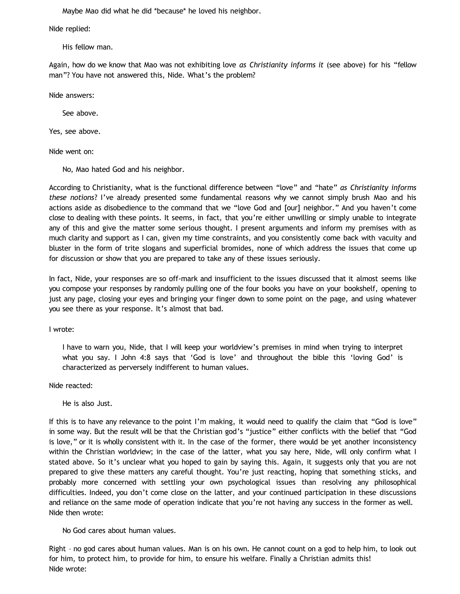Maybe Mao did what he did \*because\* he loved his neighbor.

Nide replied:

His fellow man.

Again, how do we know that Mao was not exhibiting love *as Christianity informs it* (see above) for his "fellow man"? You have not answered this, Nide. What's the problem?

Nide answers:

See above.

Yes, see above.

Nide went on:

No, Mao hated God and his neighbor.

According to Christianity, what is the functional difference between "love" and "hate" *as Christianity informs these notions*? I've already presented some fundamental reasons why we cannot simply brush Mao and his actions aside as disobedience to the command that we "love God and [our] neighbor." And you haven't come close to dealing with these points. It seems, in fact, that you're either unwilling or simply unable to integrate any of this and give the matter some serious thought. I present arguments and inform my premises with as much clarity and support as I can, given my time constraints, and you consistently come back with vacuity and bluster in the form of trite slogans and superficial bromides, none of which address the issues that come up for discussion or show that you are prepared to take any of these issues seriously.

In fact, Nide, your responses are so off-mark and insufficient to the issues discussed that it almost seems like you compose your responses by randomly pulling one of the four books you have on your bookshelf, opening to just any page, closing your eyes and bringing your finger down to some point on the page, and using whatever you see there as your response. It's almost that bad.

I wrote:

I have to warn you, Nide, that I will keep your worldview's premises in mind when trying to interpret what you say. I John 4:8 says that 'God is love' and throughout the bible this 'loving God' is characterized as perversely indifferent to human values.

Nide reacted:

He is also Just.

If this is to have any relevance to the point I'm making, it would need to qualify the claim that "God is love" in some way. But the result will be that the Christian god's "justice" either conflicts with the belief that "God is love," or it is wholly consistent with it. In the case of the former, there would be yet another inconsistency within the Christian worldview; in the case of the latter, what you say here, Nide, will only confirm what I stated above. So it's unclear what you hoped to gain by saying this. Again, it suggests only that you are not prepared to give these matters any careful thought. You're just reacting, hoping that something sticks, and probably more concerned with settling your own psychological issues than resolving any philosophical difficulties. Indeed, you don't come close on the latter, and your continued participation in these discussions and reliance on the same mode of operation indicate that you're not having any success in the former as well. Nide then wrote:

No God cares about human values.

Right – no god cares about human values. Man is on his own. He cannot count on a god to help him, to look out for him, to protect him, to provide for him, to ensure his welfare. Finally a Christian admits this! Nide wrote: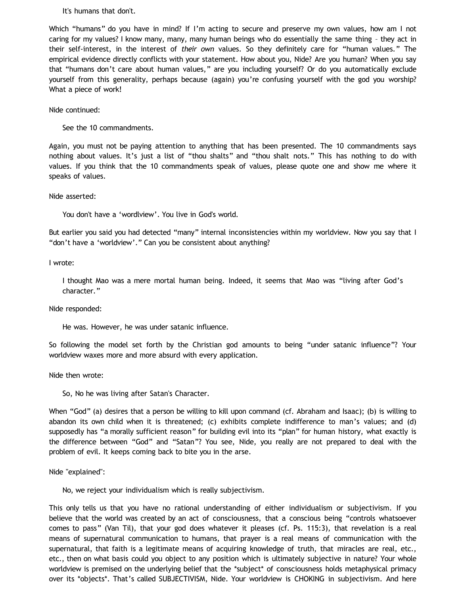#### It's humans that don't.

Which "humans" do you have in mind? If I'm acting to secure and preserve my own values, how am I not caring for my values? I know many, many, many human beings who do essentially the same thing – they act in their self-interest, in the interest of *their own* values. So they definitely care for "human values." The empirical evidence directly conflicts with your statement. How about you, Nide? Are you human? When you say that "humans don't care about human values," are you including yourself? Or do you automatically exclude yourself from this generality, perhaps because (again) you're confusing yourself with the god you worship? What a piece of work!

Nide continued:

See the 10 commandments.

Again, you must not be paying attention to anything that has been presented. The 10 commandments says nothing about values. It's just a list of "thou shalts" and "thou shalt nots." This has nothing to do with values. If you think that the 10 commandments speak of values, please quote one and show me where it speaks of values.

Nide asserted:

You don't have a 'wordlview'. You live in God's world.

But earlier you said you had detected "many" internal inconsistencies within my worldview. Now you say that I "don't have a 'worldview'." Can you be consistent about anything?

I wrote:

I thought Mao was a mere mortal human being. Indeed, it seems that Mao was "living after God's character."

Nide responded:

He was. However, he was under satanic influence.

So following the model set forth by the Christian god amounts to being "under satanic influence"? Your worldview waxes more and more absurd with every application.

Nide then wrote:

So, No he was living after Satan's Character.

When "God" (a) desires that a person be willing to kill upon command (cf. Abraham and Isaac); (b) is willing to abandon its own child when it is threatened; (c) exhibits complete indifference to man's values; and (d) supposedly has "a morally sufficient reason" for building evil into its "plan" for human history, what exactly is the difference between "God" and "Satan"? You see, Nide, you really are not prepared to deal with the problem of evil. It keeps coming back to bite you in the arse.

Nide "explained":

No, we reject your individualism which is really subjectivism.

This only tells us that you have no rational understanding of either individualism or subjectivism. If you believe that the world was created by an act of consciousness, that a conscious being "controls whatsoever comes to pass" (Van Til), that your god does whatever it pleases (cf. Ps. 115:3), that revelation is a real means of supernatural communication to humans, that prayer is a real means of communication with the supernatural, that faith is a legitimate means of acquiring knowledge of truth, that miracles are real, etc., etc., then on what basis could you object to any position which is ultimately subjective in nature? Your whole worldview is premised on the underlying belief that the \*subject\* of consciousness holds metaphysical primacy over its \*objects\*. That's called SUBJECTIVISM, Nide. Your worldview is CHOKING in subjectivism. And here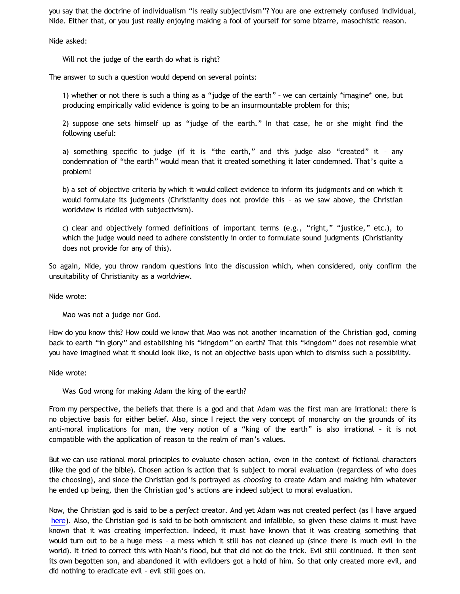you say that the doctrine of individualism "is really subjectivism"? You are one extremely confused individual, Nide. Either that, or you just really enjoying making a fool of yourself for some bizarre, masochistic reason.

Nide asked:

Will not the judge of the earth do what is right?

The answer to such a question would depend on several points:

1) whether or not there is such a thing as a "judge of the earth" – we can certainly \*imagine\* one, but producing empirically valid evidence is going to be an insurmountable problem for this;

2) suppose one sets himself up as "judge of the earth." In that case, he or she might find the following useful:

a) something specific to judge (if it is "the earth," and this judge also "created" it – any condemnation of "the earth" would mean that it created something it later condemned. That's quite a problem!

b) a set of objective criteria by which it would collect evidence to inform its judgments and on which it would formulate its judgments (Christianity does not provide this – as we saw above, the Christian worldview is riddled with subjectivism).

c) clear and objectively formed definitions of important terms (e.g., "right," "justice," etc.), to which the judge would need to adhere consistently in order to formulate sound judgments (Christianity does not provide for any of this).

So again, Nide, you throw random questions into the discussion which, when considered, only confirm the unsuitability of Christianity as a worldview.

Nide wrote:

Mao was not a judge nor God.

How do you know this? How could we know that Mao was not another incarnation of the Christian god, coming back to earth "in glory" and establishing his "kingdom" on earth? That this "kingdom" does not resemble what you have imagined what it should look like, is not an objective basis upon which to dismiss such a possibility.

Nide wrote:

Was God wrong for making Adam the king of the earth?

From my perspective, the beliefs that there is a god and that Adam was the first man are irrational: there is no objective basis for either belief. Also, since I reject the very concept of monarchy on the grounds of its anti-moral implications for man, the very notion of a "king of the earth" is also irrational – it is not compatible with the application of reason to the realm of man's values.

But we can use rational moral principles to evaluate chosen action, even in the context of fictional characters (like the god of the bible). Chosen action is action that is subject to moral evaluation (regardless of who does the choosing), and since the Christian god is portrayed as *choosing* to create Adam and making him whatever he ended up being, then the Christian god's actions are indeed subject to moral evaluation.

Now, the Christian god is said to be a *perfect* creator. And yet Adam was not created perfect (as I have argued [here\)](http://bahnsenburner.blogspot.com/2009/03/was-adam-created-perfect.html). Also, the Christian god is said to be both omniscient and infallible, so given these claims it must have known that it was creating imperfection. Indeed, it must have known that it was creating something that would turn out to be a huge mess – a mess which it still has not cleaned up (since there is much evil in the world). It tried to correct this with Noah's flood, but that did not do the trick. Evil still continued. It then sent its own begotten son, and abandoned it with evildoers got a hold of him. So that only created more evil, and did nothing to eradicate evil – evil still goes on.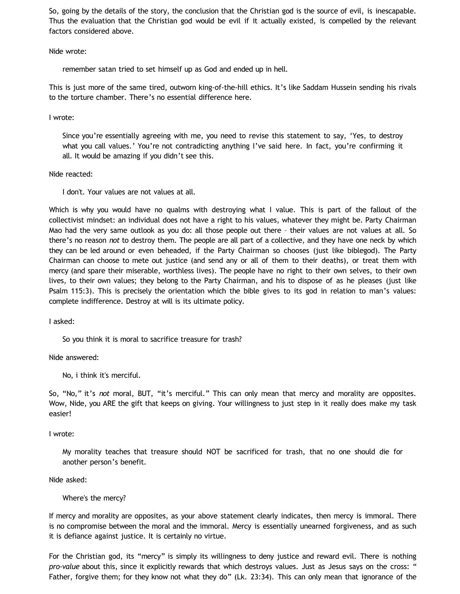So, going by the details of the story, the conclusion that the Christian god is the source of evil, is inescapable. Thus the evaluation that the Christian god would be evil if it actually existed, is compelled by the relevant factors considered above.

Nide wrote:

remember satan tried to set himself up as God and ended up in hell.

This is just more of the same tired, outworn king-of-the-hill ethics. It's like Saddam Hussein sending his rivals to the torture chamber. There's no essential difference here.

I wrote:

Since you're essentially agreeing with me, you need to revise this statement to say, 'Yes, to destroy what you call values.' You're not contradicting anything I've said here. In fact, you're confirming it all. It would be amazing if you didn't see this.

# Nide reacted:

I don't. Your values are not values at all.

Which is why you would have no qualms with destroying what I value. This is part of the fallout of the collectivist mindset: an individual does not have a right to his values, whatever they might be. Party Chairman Mao had the very same outlook as you do: all those people out there – their values are not values at all. So there's no reason *not* to destroy them. The people are all part of a collective, and they have one neck by which they can be led around or even beheaded, if the Party Chairman so chooses (just like biblegod). The Party Chairman can choose to mete out justice (and send any or all of them to their deaths), or treat them with mercy (and spare their miserable, worthless lives). The people have no right to their own selves, to their own lives, to their own values; they belong to the Party Chairman, and his to dispose of as he pleases (just like Psalm 115:3). This is precisely the orientation which the bible gives to its god in relation to man's values: complete indifference. Destroy at will is its ultimate policy.

I asked:

So you think it is moral to sacrifice treasure for trash?

Nide answered:

No, i think it's merciful.

So, "No," it's *not* moral, BUT, "it's merciful." This can only mean that mercy and morality are opposites. Wow, Nide, you ARE the gift that keeps on giving. Your willingness to just step in it really does make my task easier!

I wrote:

My morality teaches that treasure should NOT be sacrificed for trash, that no one should die for another person's benefit.

Nide asked:

Where's the mercy?

If mercy and morality are opposites, as your above statement clearly indicates, then mercy is immoral. There is no compromise between the moral and the immoral. Mercy is essentially unearned forgiveness, and as such it is defiance against justice. It is certainly no virtue.

For the Christian god, its "mercy" is simply its willingness to deny justice and reward evil. There is nothing *pro-value* about this, since it explicitly rewards that which destroys values. Just as Jesus says on the cross: " Father, forgive them; for they know not what they do" (Lk. 23:34). This can only mean that ignorance of the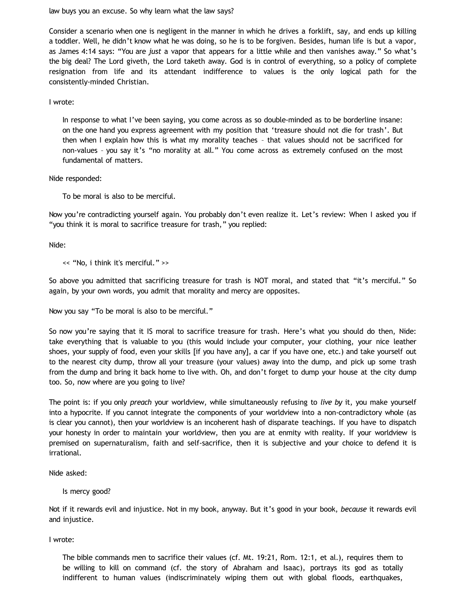law buys you an excuse. So why learn what the law says?

Consider a scenario when one is negligent in the manner in which he drives a forklift, say, and ends up killing a toddler. Well, he didn't know what he was doing, so he is to be forgiven. Besides, human life is but a vapor, as James 4:14 says: "You are *just* a vapor that appears for a little while and then vanishes away." So what's the big deal? The Lord giveth, the Lord taketh away. God is in control of everything, so a policy of complete resignation from life and its attendant indifference to values is the only logical path for the consistently-minded Christian.

I wrote:

In response to what I've been saying, you come across as so double-minded as to be borderline insane: on the one hand you express agreement with my position that 'treasure should not die for trash'. But then when I explain how this is what my morality teaches – that values should not be sacrificed for non-values – you say it's "no morality at all." You come across as extremely confused on the most fundamental of matters.

Nide responded:

To be moral is also to be merciful.

Now you're contradicting yourself again. You probably don't even realize it. Let's review: When I asked you if "you think it is moral to sacrifice treasure for trash," you replied:

Nide:

<< "No, i think it's merciful." >>

So above you admitted that sacrificing treasure for trash is NOT moral, and stated that "it's merciful." So again, by your own words, you admit that morality and mercy are opposites.

Now you say "To be moral is also to be merciful."

So now you're saying that it IS moral to sacrifice treasure for trash. Here's what you should do then, Nide: take everything that is valuable to you (this would include your computer, your clothing, your nice leather shoes, your supply of food, even your skills [if you have any], a car if you have one, etc.) and take yourself out to the nearest city dump, throw all your treasure (your values) away into the dump, and pick up some trash from the dump and bring it back home to live with. Oh, and don't forget to dump your house at the city dump too. So, now where are you going to live?

The point is: if you only *preach* your worldview, while simultaneously refusing to *live by* it, you make yourself into a hypocrite. If you cannot integrate the components of your worldview into a non-contradictory whole (as is clear you cannot), then your worldview is an incoherent hash of disparate teachings. If you have to dispatch your honesty in order to maintain your worldview, then you are at enmity with reality. If your worldview is premised on supernaturalism, faith and self-sacrifice, then it is subjective and your choice to defend it is irrational.

Nide asked:

Is mercy good?

Not if it rewards evil and injustice. Not in my book, anyway. But it's good in your book, *because* it rewards evil and injustice.

I wrote:

The bible commands men to sacrifice their values (cf. Mt. 19:21, Rom. 12:1, et al.), requires them to be willing to kill on command (cf. the story of Abraham and Isaac), portrays its god as totally indifferent to human values (indiscriminately wiping them out with global floods, earthquakes,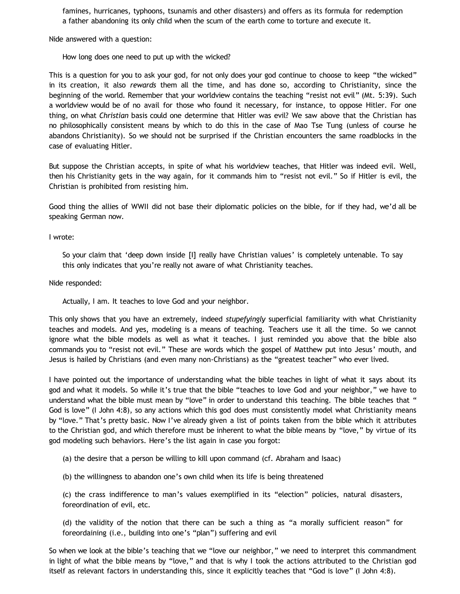famines, hurricanes, typhoons, tsunamis and other disasters) and offers as its formula for redemption a father abandoning its only child when the scum of the earth come to torture and execute it.

Nide answered with a question:

How long does one need to put up with the wicked?

This is a question for you to ask your god, for not only does your god continue to choose to keep "the wicked" in its creation, it also *rewards* them all the time, and has done so, according to Christianity, since the beginning of the world. Remember that your worldview contains the teaching "resist not evil" (Mt. 5:39). Such a worldview would be of no avail for those who found it necessary, for instance, to oppose Hitler. For one thing, on what *Christian* basis could one determine that Hitler was evil? We saw above that the Christian has no philosophically consistent means by which to do this in the case of Mao Tse Tung (unless of course he abandons Christianity). So we should not be surprised if the Christian encounters the same roadblocks in the case of evaluating Hitler.

But suppose the Christian accepts, in spite of what his worldview teaches, that Hitler was indeed evil. Well, then his Christianity gets in the way again, for it commands him to "resist not evil." So if Hitler is evil, the Christian is prohibited from resisting him.

Good thing the allies of WWII did not base their diplomatic policies on the bible, for if they had, we'd all be speaking German now.

I wrote:

So your claim that 'deep down inside [I] really have Christian values' is completely untenable. To say this only indicates that you're really not aware of what Christianity teaches.

Nide responded:

Actually, I am. It teaches to love God and your neighbor.

This only shows that you have an extremely, indeed *stupefyingly* superficial familiarity with what Christianity teaches and models. And yes, modeling is a means of teaching. Teachers use it all the time. So we cannot ignore what the bible models as well as what it teaches. I just reminded you above that the bible also commands you to "resist not evil." These are words which the gospel of Matthew put into Jesus' mouth, and Jesus is hailed by Christians (and even many non-Christians) as the "greatest teacher" who ever lived.

I have pointed out the importance of understanding what the bible teaches in light of what it says about its god and what it models. So while it's true that the bible "teaches to love God and your neighbor," we have to understand what the bible must mean by "love" in order to understand this teaching. The bible teaches that " God is love" (I John 4:8), so any actions which this god does must consistently model what Christianity means by "love." That's pretty basic. Now I've already given a list of points taken from the bible which it attributes to the Christian god, and which therefore must be inherent to what the bible means by "love," by virtue of its god modeling such behaviors. Here's the list again in case you forgot:

(a) the desire that a person be willing to kill upon command (cf. Abraham and Isaac)

(b) the willingness to abandon one's own child when its life is being threatened

(c) the crass indifference to man's values exemplified in its "election" policies, natural disasters, foreordination of evil, etc.

(d) the validity of the notion that there can be such a thing as "a morally sufficient reason" for foreordaining (i.e., building into one's "plan") suffering and evil

So when we look at the bible's teaching that we "love our neighbor," we need to interpret this commandment in light of what the bible means by "love," and that is why I took the actions attributed to the Christian god itself as relevant factors in understanding this, since it explicitly teaches that "God is love" (I John 4:8).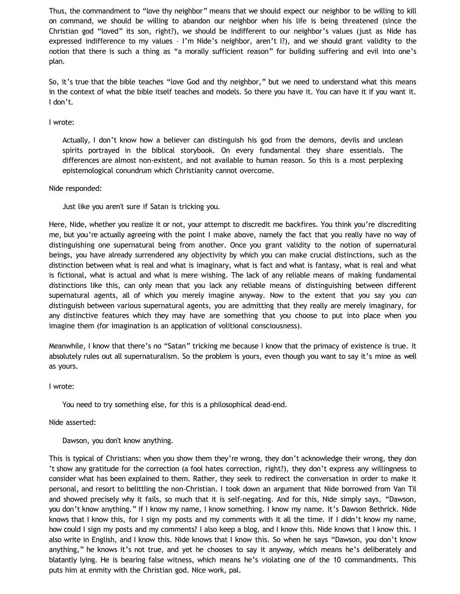Thus, the commandment to "love thy neighbor" means that we should expect our neighbor to be willing to kill on command, we should be willing to abandon our neighbor when his life is being threatened (since the Christian god "loved" its son, right?), we should be indifferent to our neighbor's values (just as Nide has expressed indifference to my values – I'm Nide's neighbor, aren't I?), and we should grant validity to the notion that there is such a thing as "a morally sufficient reason" for building suffering and evil into one's plan.

So, it's true that the bible teaches "love God and thy neighbor," but we need to understand what this means in the context of what the bible itself teaches and models. So there you have it. You can have it if you want it. I don't.

# I wrote:

Actually, I don't know how a believer can distinguish his god from the demons, devils and unclean spirits portrayed in the biblical storybook. On every fundamental they share essentials. The differences are almost non-existent, and not available to human reason. So this is a most perplexing epistemological conundrum which Christianity cannot overcome.

### Nide responded:

Just like you aren't sure if Satan is tricking you.

Here, Nide, whether you realize it or not, your attempt to discredit me backfires. You think you're discrediting me, but you're actually agreeing with the point I make above, namely the fact that you really have no way of distinguishing one supernatural being from another. Once you grant validity to the notion of supernatural beings, you have already surrendered any objectivity by which you can make crucial distinctions, such as the distinction between what is real and what is imaginary, what is fact and what is fantasy, what is real and what is fictional, what is actual and what is mere wishing. The lack of any reliable means of making fundamental distinctions like this, can only mean that you lack any reliable means of distinguishing between different supernatural agents, all of which you merely imagine anyway. Now to the extent that you say you *can* distinguish between various supernatural agents, you are admitting that they really are merely imaginary, for any distinctive features which they may have are something that you choose to put into place when you imagine them (for imagination is an application of volitional consciousness).

Meanwhile, I know that there's no "Satan" tricking me because I know that the primacy of existence is true. It absolutely rules out all supernaturalism. So the problem is yours, even though you want to say it's mine as well as yours.

### I wrote:

You need to try something else, for this is a philosophical dead-end.

### Nide asserted:

Dawson, you don't know anything.

This is typical of Christians: when you show them they're wrong, they don't acknowledge their wrong, they don 't show any gratitude for the correction (a fool hates correction, right?), they don't express any willingness to consider what has been explained to them. Rather, they seek to redirect the conversation in order to make it personal, and resort to belittling the non-Christian. I took down an argument that Nide borrowed from Van Til and showed precisely why it fails, so much that it is self-negating. And for this, Nide simply says, "Dawson, you don't know anything." If I know my name, I know something. I know my name. It's Dawson Bethrick. Nide knows that I know this, for I sign my posts and my comments with it all the time. If I didn't know my name, how could I sign my posts and my comments? I also keep a blog, and I know this. Nide knows that I know this. I also write in English, and I know this. Nide knows that I know this. So when he says "Dawson, you don't know anything," he knows it's not true, and yet he chooses to say it anyway, which means he's deliberately and blatantly lying. He is bearing false witness, which means he's violating one of the 10 commandments. This puts him at enmity with the Christian god. Nice work, pal.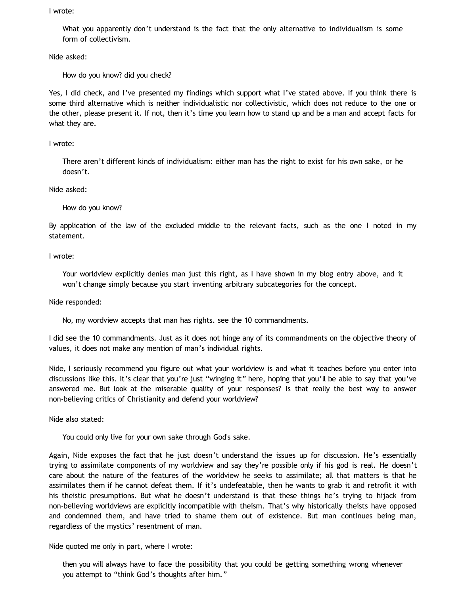I wrote:

What you apparently don't understand is the fact that the only alternative to individualism is some form of collectivism.

Nide asked:

How do you know? did you check?

Yes, I did check, and I've presented my findings which support what I've stated above. If you think there is some third alternative which is neither individualistic nor collectivistic, which does not reduce to the one or the other, please present it. If not, then it's time you learn how to stand up and be a man and accept facts for what they are.

I wrote:

There aren't different kinds of individualism: either man has the right to exist for his own sake, or he doesn't.

Nide asked:

How do you know?

By application of the law of the excluded middle to the relevant facts, such as the one I noted in my statement.

I wrote:

Your worldview explicitly denies man just this right, as I have shown in my blog entry above, and it won't change simply because you start inventing arbitrary subcategories for the concept.

Nide responded:

No, my wordview accepts that man has rights. see the 10 commandments.

I did see the 10 commandments. Just as it does not hinge any of its commandments on the objective theory of values, it does not make any mention of man's individual rights.

Nide, I seriously recommend you figure out what your worldview is and what it teaches before you enter into discussions like this. It's clear that you're just "winging it" here, hoping that you'll be able to say that you've answered me. But look at the miserable quality of your responses? Is that really the best way to answer non-believing critics of Christianity and defend your worldview?

Nide also stated:

You could only live for your own sake through God's sake.

Again, Nide exposes the fact that he just doesn't understand the issues up for discussion. He's essentially trying to assimilate components of my worldview and say they're possible only if his god is real. He doesn't care about the nature of the features of the worldview he seeks to assimilate; all that matters is that he assimilates them if he cannot defeat them. If it's undefeatable, then he wants to grab it and retrofit it with his theistic presumptions. But what he doesn't understand is that these things he's trying to hijack from non-believing worldviews are explicitly incompatible with theism. That's why historically theists have opposed and condemned them, and have tried to shame them out of existence. But man continues being man, regardless of the mystics' resentment of man.

Nide quoted me only in part, where I wrote:

then you will always have to face the possibility that you could be getting something wrong whenever you attempt to "think God's thoughts after him."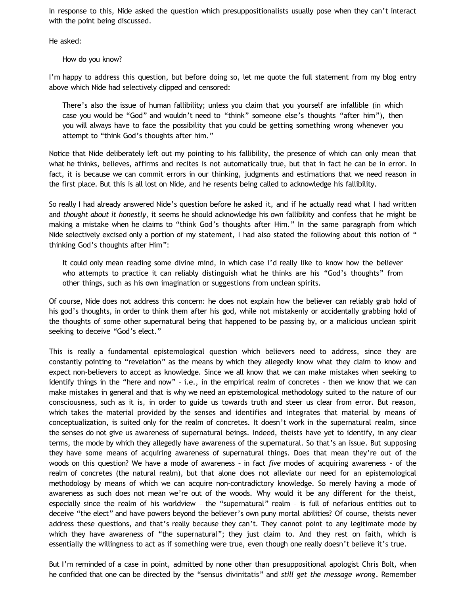In response to this, Nide asked the question which presuppositionalists usually pose when they can't interact with the point being discussed.

He asked:

How do you know?

I'm happy to address this question, but before doing so, let me quote the full statement from my blog entry above which Nide had selectively clipped and censored:

There's also the issue of human fallibility; unless you claim that you yourself are infallible (in which case you would be "God" and wouldn't need to "think" someone else's thoughts "after him"), then you will always have to face the possibility that you could be getting something wrong whenever you attempt to "think God's thoughts after him."

Notice that Nide deliberately left out my pointing to his fallibility, the presence of which can only mean that what he thinks, believes, affirms and recites is not automatically true, but that in fact he can be in error. In fact, it is because we can commit errors in our thinking, judgments and estimations that we need reason in the first place. But this is all lost on Nide, and he resents being called to acknowledge his fallibility.

So really I had already answered Nide's question before he asked it, and if he actually read what I had written and *thought about it honestly*, it seems he should acknowledge his own fallibility and confess that he might be making a mistake when he claims to "think God's thoughts after Him." In the same paragraph from which Nide selectively excised only a portion of my statement, I had also stated the following about this notion of " thinking God's thoughts after Him":

It could only mean reading some divine mind, in which case I'd really like to know how the believer who attempts to practice it can reliably distinguish what he thinks are his "God's thoughts" from other things, such as his own imagination or suggestions from unclean spirits.

Of course, Nide does not address this concern: he does not explain how the believer can reliably grab hold of his god's thoughts, in order to think them after his god, while not mistakenly or accidentally grabbing hold of the thoughts of some other supernatural being that happened to be passing by, or a malicious unclean spirit seeking to deceive "God's elect."

This is really a fundamental epistemological question which believers need to address, since they are constantly pointing to "revelation" as the means by which they allegedly know what they claim to know and expect non-believers to accept as knowledge. Since we all know that we can make mistakes when seeking to identify things in the "here and now" – i.e., in the empirical realm of concretes – then we know that we can make mistakes in general and that is why we need an epistemological methodology suited to the nature of our consciousness, such as it is, in order to guide us towards truth and steer us clear from error. But reason, which takes the material provided by the senses and identifies and integrates that material by means of conceptualization, is suited only for the realm of concretes. It doesn't work in the supernatural realm, since the senses do not give us awareness of supernatural beings. Indeed, theists have yet to identify, in any clear terms, the mode by which they allegedly have awareness of the supernatural. So that's an issue. But supposing they have some means of acquiring awareness of supernatural things. Does that mean they're out of the woods on this question? We have a mode of awareness – in fact *five* modes of acquiring awareness – of the realm of concretes (the natural realm), but that alone does not alleviate our need for an epistemological methodology by means of which we can acquire non-contradictory knowledge. So merely having a mode of awareness as such does not mean we're out of the woods. Why would it be any different for the theist, especially since the realm of his worldview – the "supernatural" realm – is full of nefarious entities out to deceive "the elect" and have powers beyond the believer's own puny mortal abilities? Of course, theists never address these questions, and that's really because they can't. They cannot point to any legitimate mode by which they have awareness of "the supernatural"; they just claim to. And they rest on faith, which is essentially the willingness to act as if something were true, even though one really doesn't believe it's true.

But I'm reminded of a case in point, admitted by none other than presuppositional apologist Chris Bolt, when he confided that one can be directed by the "sensus divinitatis" and *still get the message wrong*. Remember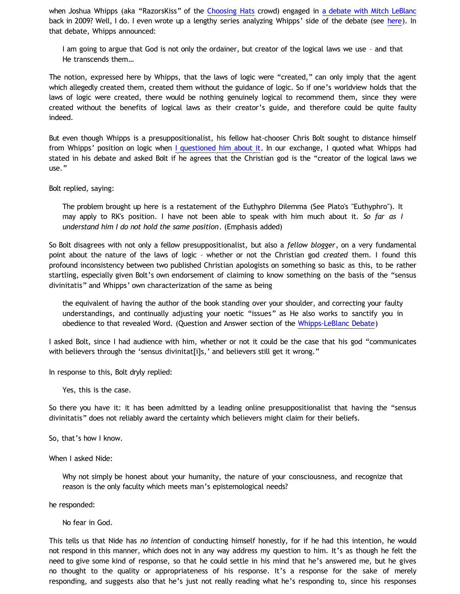when Joshua Whipps (aka "RazorsKiss" of the [Choosing Hats](http://www.choosinghats.com/) crowd) engaged in [a debate with Mitch LeBlanc](http://razorskiss.net/2009/08/debate-transcript/) back in 2009? Well, I do. I even wrote up a lengthy series analyzing Whipps' side of the debate (see [here\)](http://katholon.com/RK.htm). In that debate, Whipps announced:

I am going to argue that God is not only the ordainer, but creator of the logical laws we use – and that He transcends them…

The notion, expressed here by Whipps, that the laws of logic were "created," can only imply that the agent which allegedly created them, created them without the guidance of logic. So if one's worldview holds that the laws of logic were created, there would be nothing genuinely logical to recommend them, since they were created without the benefits of logical laws as their creator's guide, and therefore could be quite faulty indeed.

But even though Whipps is a presuppositionalist, his fellow hat-chooser Chris Bolt sought to distance himself from Whipps' position on logic when [I questioned him about it](http://bahnsenburner.blogspot.com/2009/10/chris-bolt-on-hume-and-induction.html). In our exchange, I quoted what Whipps had stated in his debate and asked Bolt if he agrees that the Christian god is the "creator of the logical laws we use."

Bolt replied, saying:

The problem brought up here is a restatement of the Euthyphro Dilemma (See Plato's "Euthyphro"). It may apply to RK's position. I have not been able to speak with him much about it. *So far as I understand him I do not hold the same position*. (Emphasis added)

So Bolt disagrees with not only a fellow presuppositionalist, but also a *fellow blogger*, on a very fundamental point about the nature of the laws of logic – whether or not the Christian god *created* them. I found this profound inconsistency between two published Christian apologists on something so basic as this, to be rather startling, especially given Bolt's own endorsement of claiming to know something on the basis of the "sensus divinitatis" and Whipps' own characterization of the same as being

the equivalent of having the author of the book standing over your shoulder, and correcting your faulty understandings, and continually adjusting your noetic "issues" as He also works to sanctify you in obedience to that revealed Word. (Question and Answer section of the [Whipps-LeBlanc Debate\)](http://razorskiss.net/2009/08/debate-transcript/)

I asked Bolt, since I had audience with him, whether or not it could be the case that his god "communicates with believers through the 'sensus divinitat[i]s,' and believers still get it wrong."

In response to this, Bolt dryly replied:

Yes, this is the case.

So there you have it: it has been admitted by a leading online presuppositionalist that having the "sensus divinitatis" does not reliably award the certainty which believers might claim for their beliefs.

So, that's how I know.

When I asked Nide:

Why not simply be honest about your humanity, the nature of your consciousness, and recognize that reason is the only faculty which meets man's epistemological needs?

he responded:

No fear in God.

This tells us that Nide has *no intention* of conducting himself honestly, for if he had this intention, he would not respond in this manner, which does not in any way address my question to him. It's as though he felt the need to give some kind of response, so that he could settle in his mind that he's answered me, but he gives no thought to the quality or appropriateness of his response. It's a response for the sake of merely responding, and suggests also that he's just not really reading what he's responding to, since his responses